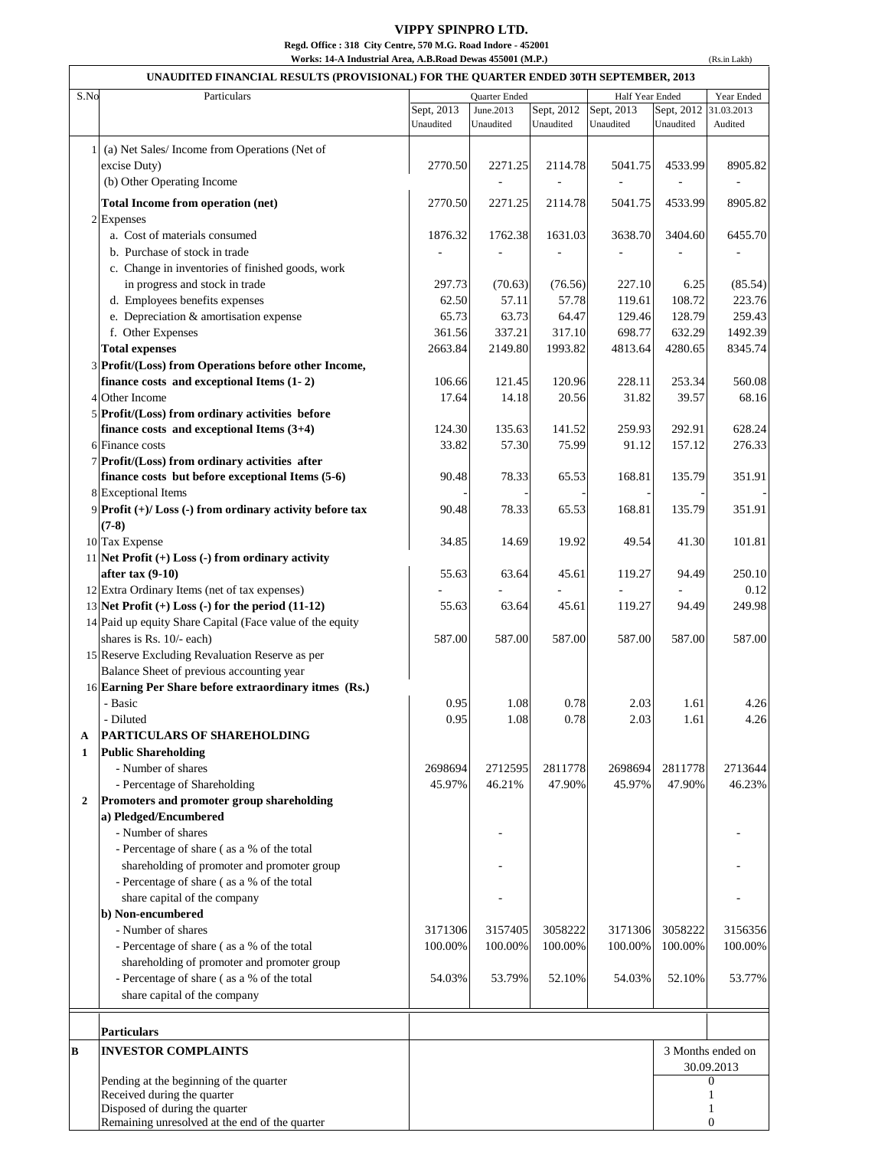## **VIPPY SPINPRO LTD.**

(Rs.in Lakh)

**Regd. Office : 318 City Centre, 570 M.G. Road Indore - 452001**

| Works: 14-A Industrial Area, A.B.Road Dewas 455001 (M.P.) |  |
|-----------------------------------------------------------|--|
|-----------------------------------------------------------|--|

| S.No<br>Particulars                                                                                      |            | Quarter Ended |            | Half Year Ended |            | Year Ended               |  |
|----------------------------------------------------------------------------------------------------------|------------|---------------|------------|-----------------|------------|--------------------------|--|
|                                                                                                          | Sept, 2013 | June.2013     | Sept, 2012 | Sept, 2013      | Sept, 2012 | 31.03.2013               |  |
|                                                                                                          | Unaudited  | Unaudited     | Unaudited  | Unaudited       | Unaudited  | Audited                  |  |
| (a) Net Sales/Income from Operations (Net of<br>$\mathbf{1}$                                             |            |               |            |                 |            |                          |  |
| excise Duty)                                                                                             | 2770.50    | 2271.25       | 2114.78    | 5041.75         | 4533.99    | 8905.82                  |  |
| (b) Other Operating Income                                                                               |            |               |            |                 |            | $\overline{\phantom{a}}$ |  |
| Total Income from operation (net)                                                                        | 2770.50    | 2271.25       | 2114.78    | 5041.75         | 4533.99    | 8905.82                  |  |
| 2 Expenses                                                                                               |            |               |            |                 |            |                          |  |
| a. Cost of materials consumed                                                                            | 1876.32    | 1762.38       | 1631.03    | 3638.70         | 3404.60    | 6455.70                  |  |
| b. Purchase of stock in trade                                                                            |            |               |            |                 |            |                          |  |
| c. Change in inventories of finished goods, work                                                         |            |               |            |                 |            |                          |  |
| in progress and stock in trade                                                                           | 297.73     | (70.63)       | (76.56)    | 227.10          | 6.25       | (85.54)                  |  |
| d. Employees benefits expenses                                                                           | 62.50      | 57.11         | 57.78      | 119.61          | 108.72     | 223.76                   |  |
| e. Depreciation & amortisation expense                                                                   | 65.73      | 63.73         | 64.47      | 129.46          | 128.79     | 259.43                   |  |
| f. Other Expenses                                                                                        | 361.56     | 337.21        | 317.10     | 698.77          | 632.29     | 1492.39                  |  |
| <b>Total expenses</b>                                                                                    | 2663.84    | 2149.80       | 1993.82    | 4813.64         | 4280.65    | 8345.74                  |  |
| 3 Profit/(Loss) from Operations before other Income,                                                     |            |               |            |                 |            |                          |  |
| finance costs and exceptional Items (1-2)                                                                | 106.66     | 121.45        | 120.96     | 228.11          | 253.34     | 560.08                   |  |
| 4 Other Income                                                                                           | 17.64      | 14.18         | 20.56      | 31.82           | 39.57      | 68.16                    |  |
| 5 Profit/(Loss) from ordinary activities before                                                          |            |               |            |                 |            |                          |  |
| finance costs and exceptional Items $(3+4)$                                                              | 124.30     | 135.63        | 141.52     | 259.93          | 292.91     | 628.24                   |  |
| 6 Finance costs                                                                                          | 33.82      | 57.30         | 75.99      | 91.12           | 157.12     | 276.33                   |  |
| 7 Profit/(Loss) from ordinary activities after                                                           |            |               |            |                 |            |                          |  |
| finance costs but before exceptional Items (5-6)                                                         | 90.48      | 78.33         | 65.53      | 168.81          | 135.79     | 351.91                   |  |
| 8 Exceptional Items                                                                                      |            |               |            |                 |            |                          |  |
| 9 Profit (+)/ Loss (-) from ordinary activity before tax                                                 | 90.48      | 78.33         | 65.53      | 168.81          | 135.79     | 351.91                   |  |
| $(7-8)$                                                                                                  |            |               |            |                 |            |                          |  |
| 10 Tax Expense                                                                                           | 34.85      | 14.69         | 19.92      | 49.54           | 41.30      | 101.81                   |  |
| 11 Net Profit $(+)$ Loss $(-)$ from ordinary activity                                                    |            |               |            |                 |            |                          |  |
| after tax $(9-10)$                                                                                       | 55.63      | 63.64         | 45.61      | 119.27          | 94.49      | 250.10<br>0.12           |  |
| 12 Extra Ordinary Items (net of tax expenses)<br>13 Net Profit $(+)$ Loss $(-)$ for the period $(11-12)$ |            |               | 45.61      | 119.27          |            | 249.98                   |  |
| 14 Paid up equity Share Capital (Face value of the equity                                                | 55.63      | 63.64         |            |                 | 94.49      |                          |  |
| shares is Rs. 10/- each)                                                                                 | 587.00     | 587.00        | 587.00     | 587.00          | 587.00     | 587.00                   |  |
| 15 Reserve Excluding Revaluation Reserve as per                                                          |            |               |            |                 |            |                          |  |
| Balance Sheet of previous accounting year                                                                |            |               |            |                 |            |                          |  |
| 16 Earning Per Share before extraordinary itmes (Rs.)                                                    |            |               |            |                 |            |                          |  |
| - Basic                                                                                                  | 0.95       | 1.08          | 0.78       | 2.03            | 1.61       | 4.26                     |  |
| - Diluted                                                                                                | 0.95       | 1.08          | 0.78       | 2.03            | 1.61       | 4.26                     |  |
| PARTICULARS OF SHAREHOLDING<br>A                                                                         |            |               |            |                 |            |                          |  |
| <b>Public Shareholding</b><br>1                                                                          |            |               |            |                 |            |                          |  |
| - Number of shares                                                                                       | 2698694    | 2712595       | 2811778    | 2698694         | 2811778    | 2713644                  |  |
| - Percentage of Shareholding                                                                             | 45.97%     | 46.21%        | 47.90%     | 45.97%          | 47.90%     | 46.23%                   |  |
| Promoters and promoter group shareholding<br>$\overline{\mathbf{2}}$                                     |            |               |            |                 |            |                          |  |
| a) Pledged/Encumbered                                                                                    |            |               |            |                 |            |                          |  |
| - Number of shares                                                                                       |            |               |            |                 |            |                          |  |
| - Percentage of share (as a % of the total                                                               |            |               |            |                 |            |                          |  |
| shareholding of promoter and promoter group                                                              |            |               |            |                 |            |                          |  |
| - Percentage of share (as a % of the total                                                               |            |               |            |                 |            |                          |  |
| share capital of the company                                                                             |            |               |            |                 |            |                          |  |
| b) Non-encumbered                                                                                        |            |               |            |                 |            |                          |  |
| - Number of shares                                                                                       | 3171306    | 3157405       | 3058222    | 3171306         | 3058222    | 3156356                  |  |
| - Percentage of share (as a % of the total                                                               | 100.00%    | 100.00%       | 100.00%    | 100.00%         | 100.00%    | 100.00%                  |  |
| shareholding of promoter and promoter group                                                              |            |               |            |                 |            |                          |  |
| - Percentage of share (as a % of the total                                                               | 54.03%     | 53.79%        | 52.10%     | 54.03%          | 52.10%     | 53.77%                   |  |
| share capital of the company                                                                             |            |               |            |                 |            |                          |  |
|                                                                                                          |            |               |            |                 |            |                          |  |
| <b>Particulars</b>                                                                                       |            |               |            |                 |            |                          |  |
| <b>INVESTOR COMPLAINTS</b><br>B                                                                          |            |               |            |                 |            | 3 Months ended on        |  |
|                                                                                                          |            |               |            |                 |            | 30.09.2013               |  |
| Pending at the beginning of the quarter                                                                  |            |               |            |                 |            | $\mathbf{0}$             |  |
| Received during the quarter<br>Disposed of during the quarter                                            |            |               |            |                 |            | 1<br>1                   |  |
| Remaining unresolved at the end of the quarter                                                           |            |               |            |                 |            | $\mathbf{0}$             |  |